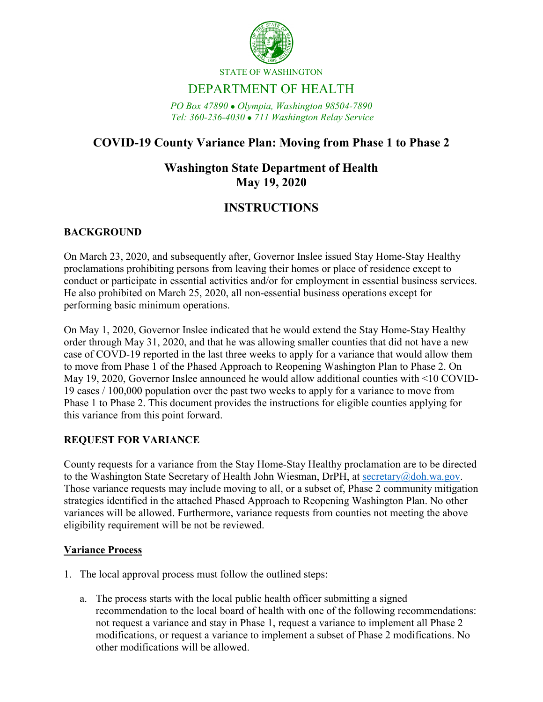

STATE OF WASHINGTON

# DEPARTMENT OF HEALTH

*PO Box 47890 Olympia, Washington 98504-7890 Tel: 360-236-4030 711 Washington Relay Service*

## **COVID-19 County Variance Plan: Moving from Phase 1 to Phase 2**

### **Washington State Department of Health May 19, 2020**

### **INSTRUCTIONS**

### **BACKGROUND**

On March 23, 2020, and subsequently after, Governor Inslee issued Stay Home-Stay Healthy proclamations prohibiting persons from leaving their homes or place of residence except to conduct or participate in essential activities and/or for employment in essential business services. He also prohibited on March 25, 2020, all non-essential business operations except for performing basic minimum operations.

On May 1, 2020, Governor Inslee indicated that he would extend the Stay Home-Stay Healthy order through May 31, 2020, and that he was allowing smaller counties that did not have a new case of COVD-19 reported in the last three weeks to apply for a variance that would allow them to move from Phase 1 of the Phased Approach to Reopening Washington Plan to Phase 2. On May 19, 2020, Governor Inslee announced he would allow additional counties with <10 COVID-19 cases / 100,000 population over the past two weeks to apply for a variance to move from Phase 1 to Phase 2. This document provides the instructions for eligible counties applying for this variance from this point forward.

#### **REQUEST FOR VARIANCE**

County requests for a variance from the Stay Home-Stay Healthy proclamation are to be directed to the Washington State Secretary of Health John Wiesman, DrPH, at [secretary@doh.wa.gov.](mailto:secretary@doh.wa.gov) Those variance requests may include moving to all, or a subset of, Phase 2 community mitigation strategies identified in the attached Phased Approach to Reopening Washington Plan. No other variances will be allowed. Furthermore, variance requests from counties not meeting the above eligibility requirement will be not be reviewed.

#### **Variance Process**

- 1. The local approval process must follow the outlined steps:
	- a. The process starts with the local public health officer submitting a signed recommendation to the local board of health with one of the following recommendations: not request a variance and stay in Phase 1, request a variance to implement all Phase 2 modifications, or request a variance to implement a subset of Phase 2 modifications. No other modifications will be allowed.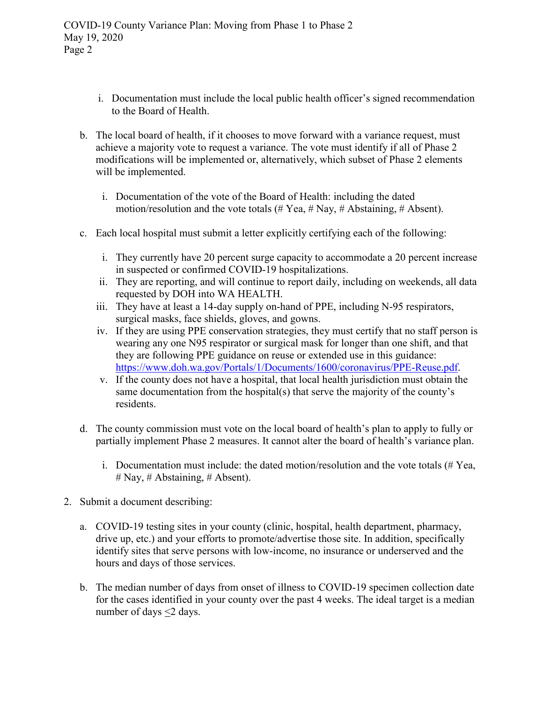- i. Documentation must include the local public health officer's signed recommendation to the Board of Health.
- b. The local board of health, if it chooses to move forward with a variance request, must achieve a majority vote to request a variance. The vote must identify if all of Phase 2 modifications will be implemented or, alternatively, which subset of Phase 2 elements will be implemented.
	- i. Documentation of the vote of the Board of Health: including the dated motion/resolution and the vote totals (# Yea, # Nay, # Abstaining, # Absent).
- c. Each local hospital must submit a letter explicitly certifying each of the following:
	- i. They currently have 20 percent surge capacity to accommodate a 20 percent increase in suspected or confirmed COVID-19 hospitalizations.
	- ii. They are reporting, and will continue to report daily, including on weekends, all data requested by DOH into WA HEALTH.
	- iii. They have at least a 14-day supply on-hand of PPE, including N-95 respirators, surgical masks, face shields, gloves, and gowns.
	- iv. If they are using PPE conservation strategies, they must certify that no staff person is wearing any one N95 respirator or surgical mask for longer than one shift, and that they are following PPE guidance on reuse or extended use in this guidance: [https://www.doh.wa.gov/Portals/1/Documents/1600/coronavirus/PPE-Reuse.pdf.](https://www.doh.wa.gov/Portals/1/Documents/1600/coronavirus/PPE-Reuse.pdf)
	- v. If the county does not have a hospital, that local health jurisdiction must obtain the same documentation from the hospital(s) that serve the majority of the county's residents.
- d. The county commission must vote on the local board of health's plan to apply to fully or partially implement Phase 2 measures. It cannot alter the board of health's variance plan.
	- i. Documentation must include: the dated motion/resolution and the vote totals (# Yea, # Nay, # Abstaining, # Absent).
- 2. Submit a document describing:
	- a. COVID-19 testing sites in your county (clinic, hospital, health department, pharmacy, drive up, etc.) and your efforts to promote/advertise those site. In addition, specifically identify sites that serve persons with low-income, no insurance or underserved and the hours and days of those services.
	- b. The median number of days from onset of illness to COVID-19 specimen collection date for the cases identified in your county over the past 4 weeks. The ideal target is a median number of days <2 days.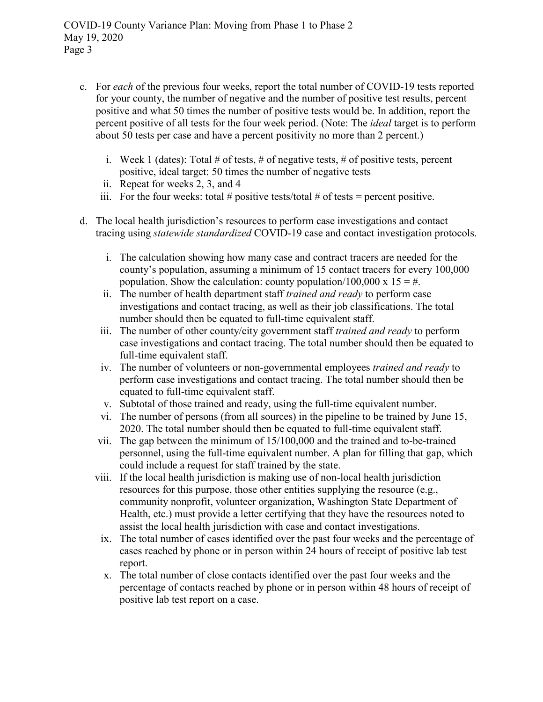- c. For *each* of the previous four weeks, report the total number of COVID-19 tests reported for your county, the number of negative and the number of positive test results, percent positive and what 50 times the number of positive tests would be. In addition, report the percent positive of all tests for the four week period. (Note: The *ideal* target is to perform about 50 tests per case and have a percent positivity no more than 2 percent.)
	- i. Week 1 (dates): Total  $\#$  of tests,  $\#$  of negative tests,  $\#$  of positive tests, percent positive, ideal target: 50 times the number of negative tests
	- ii. Repeat for weeks 2, 3, and 4
	- iii. For the four weeks: total # positive tests/total # of tests = percent positive.
- d. The local health jurisdiction's resources to perform case investigations and contact tracing using *statewide standardized* COVID-19 case and contact investigation protocols.
	- i. The calculation showing how many case and contract tracers are needed for the county's population, assuming a minimum of 15 contact tracers for every 100,000 population. Show the calculation: county population/100,000 x  $15 = #$ .
	- ii. The number of health department staff *trained and ready* to perform case investigations and contact tracing, as well as their job classifications. The total number should then be equated to full-time equivalent staff.
	- iii. The number of other county/city government staff *trained and ready* to perform case investigations and contact tracing. The total number should then be equated to full-time equivalent staff.
	- iv. The number of volunteers or non-governmental employees *trained and ready* to perform case investigations and contact tracing. The total number should then be equated to full-time equivalent staff.
	- v. Subtotal of those trained and ready, using the full-time equivalent number.
	- vi. The number of persons (from all sources) in the pipeline to be trained by June 15, 2020. The total number should then be equated to full-time equivalent staff.
	- vii. The gap between the minimum of 15/100,000 and the trained and to-be-trained personnel, using the full-time equivalent number. A plan for filling that gap, which could include a request for staff trained by the state.
	- viii. If the local health jurisdiction is making use of non-local health jurisdiction resources for this purpose, those other entities supplying the resource (e.g., community nonprofit, volunteer organization, Washington State Department of Health, etc.) must provide a letter certifying that they have the resources noted to assist the local health jurisdiction with case and contact investigations.
		- ix. The total number of cases identified over the past four weeks and the percentage of cases reached by phone or in person within 24 hours of receipt of positive lab test report.
		- x. The total number of close contacts identified over the past four weeks and the percentage of contacts reached by phone or in person within 48 hours of receipt of positive lab test report on a case.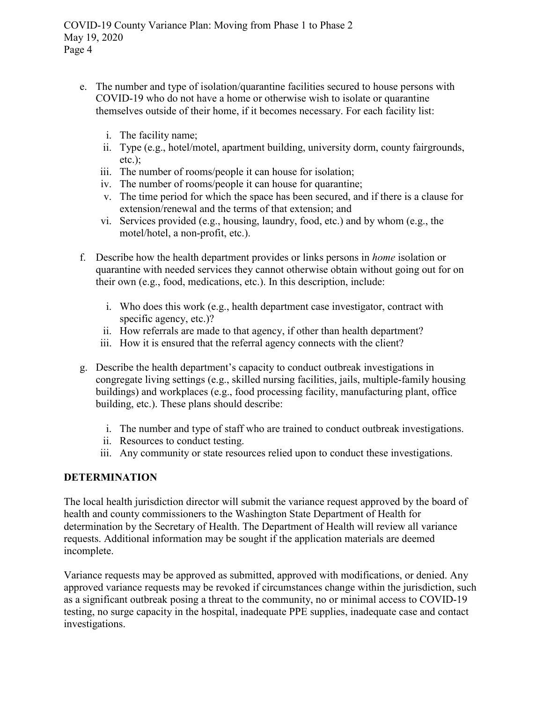- e. The number and type of isolation/quarantine facilities secured to house persons with COVID-19 who do not have a home or otherwise wish to isolate or quarantine themselves outside of their home, if it becomes necessary. For each facility list:
	- i. The facility name;
	- ii. Type (e.g., hotel/motel, apartment building, university dorm, county fairgrounds, etc.);
	- iii. The number of rooms/people it can house for isolation;
	- iv. The number of rooms/people it can house for quarantine;
	- v. The time period for which the space has been secured, and if there is a clause for extension/renewal and the terms of that extension; and
	- vi. Services provided (e.g., housing, laundry, food, etc.) and by whom (e.g., the motel/hotel, a non-profit, etc.).
- f. Describe how the health department provides or links persons in *home* isolation or quarantine with needed services they cannot otherwise obtain without going out for on their own (e.g., food, medications, etc.). In this description, include:
	- i. Who does this work (e.g., health department case investigator, contract with specific agency, etc.)?
	- ii. How referrals are made to that agency, if other than health department?
	- iii. How it is ensured that the referral agency connects with the client?
- g. Describe the health department's capacity to conduct outbreak investigations in congregate living settings (e.g., skilled nursing facilities, jails, multiple-family housing buildings) and workplaces (e.g., food processing facility, manufacturing plant, office building, etc.). These plans should describe:
	- i. The number and type of staff who are trained to conduct outbreak investigations.
	- ii. Resources to conduct testing.
	- iii. Any community or state resources relied upon to conduct these investigations.

#### **DETERMINATION**

The local health jurisdiction director will submit the variance request approved by the board of health and county commissioners to the Washington State Department of Health for determination by the Secretary of Health. The Department of Health will review all variance requests. Additional information may be sought if the application materials are deemed incomplete.

Variance requests may be approved as submitted, approved with modifications, or denied. Any approved variance requests may be revoked if circumstances change within the jurisdiction, such as a significant outbreak posing a threat to the community, no or minimal access to COVID-19 testing, no surge capacity in the hospital, inadequate PPE supplies, inadequate case and contact investigations.